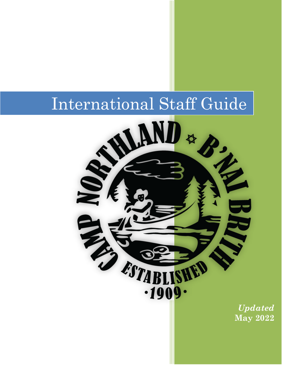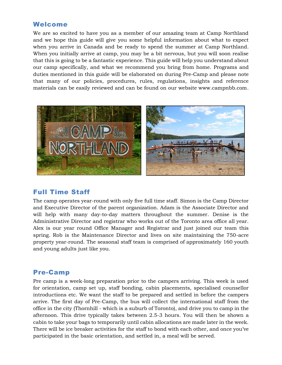### Welcome

We are so excited to have you as a member of our amazing team at Camp Northland and we hope this guide will give you some helpful information about what to expect when you arrive in Canada and be ready to spend the summer at Camp Northland. When you initially arrive at camp, you may be a bit nervous, but you will soon realise that this is going to be a fantastic experience. This guide will help you understand about our camp specifically, and what we recommend you bring from home. Programs and duties mentioned in this guide will be elaborated on during Pre-Camp and please note that many of our policies, procedures, rules, regulations, insights and reference materials can be easily reviewed and can be found on our website www.campnbb.com.



## Full Time Staff

The camp operates year-round with only five full time staff. Simon is the Camp Director and Executive Director of the parent organization. Adam is the Associate Director and will help with many day-to-day matters throughout the summer. Denise is the Administrative Director and registrar who works out of the Toronto area office all year. Alex is our year round Office Manager and Registrar and just joined our team this spring. Rob is the Maintenance Director and lives on site maintaining the 750-acre property year-round. The seasonal staff team is comprised of approximately 160 youth and young adults just like you.

### Pre-Camp

Pre camp is a week-long preparation prior to the campers arriving. This week is used for orientation, camp set up, staff bonding, cabin placements, specialised counsellor introductions etc. We want the staff to be prepared and settled in before the campers arrive. The first day of Pre-Camp, the bus will collect the international staff from the office in the city (Thornhill - which is a suburb of Toronto), and drive you to camp in the afternoon. This drive typically takes between 2.5-3 hours. You will then be shown a cabin to take your bags to temporarily until cabin allocations are made later in the week. There will be ice breaker activities for the staff to bond with each other, and once you've participated in the basic orientation, and settled in, a meal will be served.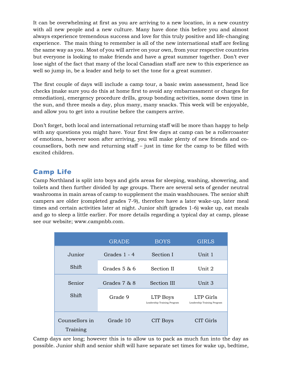It can be overwhelming at first as you are arriving to a new location, in a new country with all new people and a new culture. Many have done this before you and almost always experience tremendous success and love for this truly positive and life-changing experience. The main thing to remember is all of the new international staff are feeling the same way as you. Most of you will arrive on your own, from your respective countries but everyone is looking to make friends and have a great summer together. Don't ever lose sight of the fact that many of the local Canadian staff are new to this experience as well so jump in, be a leader and help to set the tone for a great summer.

The first couple of days will include a camp tour, a basic swim assessment, head lice checks (make sure you do this at home first to avoid any embarrassment or charges for remediation), emergency procedure drills, group bonding activities, some down time in the sun, and three meals a day, plus many, many snacks. This week will be enjoyable, and allow you to get into a routine before the campers arrive.

Don't forget, both local and international returning staff will be more than happy to help with any questions you might have. Your first few days at camp can be a rollercoaster of emotions, however soon after arriving, you will make plenty of new friends and cocounsellors, both new and returning staff – just in time for the camp to be filled with excited children.

## Camp Life

Camp Northland is split into boys and girls areas for sleeping, washing, showering, and toilets and then further divided by age groups. There are several sets of gender neutral washrooms in main areas of camp to supplement the main washhouses. The senior shift campers are older (completed grades 7-9), therefore have a later wake-up, later meal times and certain activities later at night. Junior shift (grades 1-6) wake up, eat meals and go to sleep a little earlier. For more details regarding a typical day at camp, please see our website; www.campnbb.com.

|                            | <b>GRADE</b>   | <b>BOYS</b>                             | <b>GIRLS</b>                             |
|----------------------------|----------------|-----------------------------------------|------------------------------------------|
| Junior                     | Grades $1 - 4$ | Section I                               | Unit 1                                   |
| Shift                      | Grades $5 & 6$ | Section II                              | Unit 2                                   |
| Senior                     | Grades 7 & 8   | Section III                             | Unit 3                                   |
| Shift                      | Grade 9        | LTP Boys<br>Leadership Training Program | LTP Girls<br>Leadership Training Program |
| Counsellors in<br>Training | Grade 10       | CIT Boys                                | CIT Girls                                |

Camp days are long; however this is to allow us to pack as much fun into the day as possible. Junior shift and senior shift will have separate set times for wake up, bedtime,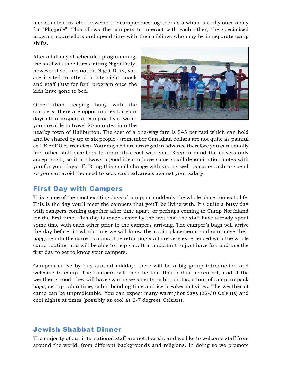meals, activities, etc.; however the camp comes together as a whole usually once a day for "Flagpole". This allows the campers to interact with each other, the specialised program counsellors and spend time with their siblings who may be in separate camp shifts.

After a full day of scheduled programming, the staff will take turns sitting Night Duty, however if you are not on Night Duty, you are invited to attend a late-night snack and staff (just for fun) program once the kids have gone to bed.

Other than keeping busy with the campers, there are opportunities for your days off to be spent at camp or if you want, you are able to travel 20 minutes into the



nearby town of Haliburton. The cost of a one-way fare is \$45 per taxi which can hold and be shared by up to six people - (remember Canadian dollars are not quite as painful as US or EU currencies). Your days off are arranged in advance therefore you can usually find other staff members to share this cost with you. Keep in mind the drivers only accept cash, so it is always a good idea to have some small denomination notes with you for your days off. Bring this small change with you as well as some cash to spend so you can avoid the need to seek cash advances against your salary.

## First Day with Campers

This is one of the most exciting days of camp, as suddenly the whole place comes to life. This is the day you'll meet the campers that you'll be living with. It's quite a busy day with campers coming together after time apart, or perhaps coming to Camp Northland for the first time. This day is made easier by the fact that the staff have already spent some time with each other prior to the campers arriving. The camper's bags will arrive the day before, in which time we will know the cabin placements and can move their baggage into the correct cabins. The returning staff are very experienced with the whole camp routine, and will be able to help you. It is important to just have fun and use the first day to get to know your campers.

Campers arrive by bus around midday; there will be a big group introduction and welcome to camp. The campers will then be told their cabin placement, and if the weather is good, they will have swim assessments, cabin photos, a tour of camp, unpack bags, set up cabin time, cabin bonding time and ice breaker activities. The weather at camp can be unpredictable. You can expect many warm/hot days (22-30 Celsius) and cool nights at times (possibly as cool as 6-7 degrees Celsius).

### Jewish Shabbat Dinner

The majority of our international staff are not Jewish, and we like to welcome staff from around the world, from different backgrounds and religions. In doing so we promote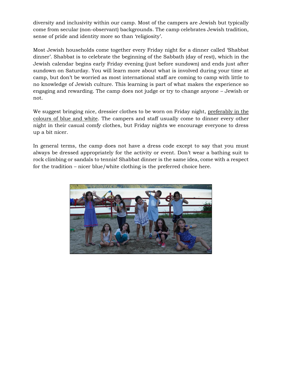diversity and inclusivity within our camp. Most of the campers are Jewish but typically come from secular (non-observant) backgrounds. The camp celebrates Jewish tradition, sense of pride and identity more so than 'religiosity'.

Most Jewish households come together every Friday night for a dinner called 'Shabbat dinner'. Shabbat is to celebrate the beginning of the Sabbath (day of rest), which in the Jewish calendar begins early Friday evening (just before sundown) and ends just after sundown on Saturday. You will learn more about what is involved during your time at camp, but don't be worried as most international staff are coming to camp with little to no knowledge of Jewish culture. This learning is part of what makes the experience so engaging and rewarding. The camp does not judge or try to change anyone – Jewish or not.

We suggest bringing nice, dressier clothes to be worn on Friday night, preferably in the colours of blue and white. The campers and staff usually come to dinner every other night in their casual comfy clothes, but Friday nights we encourage everyone to dress up a bit nicer.

In general terms, the camp does not have a dress code except to say that you must always be dressed appropriately for the activity or event. Don't wear a bathing suit to rock climbing or sandals to tennis! Shabbat dinner is the same idea, come with a respect for the tradition – nicer blue/white clothing is the preferred choice here.

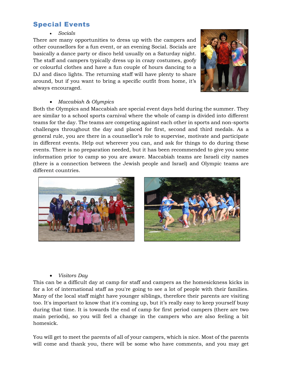## Special Events

#### • *Socials*

There are many opportunities to dress up with the campers and other counsellors for a fun event, or an evening Social. Socials are basically a dance party or disco held usually on a Saturday night. The staff and campers typically dress up in crazy costumes, goofy or colourful clothes and have a fun couple of hours dancing to a DJ and disco lights. The returning staff will have plenty to share around, but if you want to bring a specific outfit from home, it's always encouraged.



#### • *Maccabiah & Olympics*

Both the Olympics and Maccabiah are special event days held during the summer. They are similar to a school sports carnival where the whole of camp is divided into different teams for the day. The teams are competing against each other in sports and non-sports challenges throughout the day and placed for first, second and third medals. As a general rule, you are there in a counsellor's role to supervise, motivate and participate in different events. Help out wherever you can, and ask for things to do during these events. There is no preparation needed, but it has been recommended to give you some information prior to camp so you are aware. Maccabiah teams are Israeli city names (there is a connection between the Jewish people and Israel) and Olympic teams are different countries.



#### • *Visitors Day*

This can be a difficult day at camp for staff and campers as the homesickness kicks in for a lot of international staff as you're going to see a lot of people with their families. Many of the local staff might have younger siblings, therefore their parents are visiting too. It's important to know that it's coming up, but it's really easy to keep yourself busy during that time. It is towards the end of camp for first period campers (there are two main periods), so you will feel a change in the campers who are also feeling a bit homesick.

You will get to meet the parents of all of your campers, which is nice. Most of the parents will come and thank you, there will be some who have comments, and you may get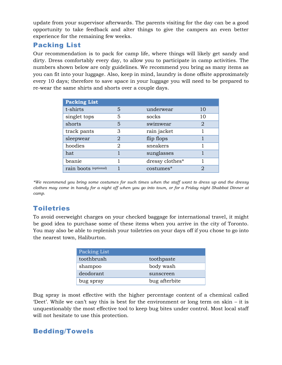update from your supervisor afterwards. The parents visiting for the day can be a good opportunity to take feedback and alter things to give the campers an even better experience for the remaining few weeks.

## Packing List

Our recommendation is to pack for camp life, where things will likely get sandy and dirty. Dress comfortably every day, to allow you to participate in camp activities. The numbers shown below are only guidelines. We recommend you bring as many items as you can fit into your luggage. Also, keep in mind, laundry is done offsite approximately every 10 days; therefore to save space in your luggage you will need to be prepared to re-wear the same shirts and shorts over a couple days.

| <b>Packing List</b>   |   |                 |    |
|-----------------------|---|-----------------|----|
| t-shirts              | 5 | underwear       | 10 |
| singlet tops          | 5 | socks           | 10 |
| shorts                | 5 | swimwear        | 2  |
| track pants           | 3 | rain jacket     |    |
| sleepwear             | 2 | flip flops      |    |
| hoodies               | 2 | sneakers        |    |
| hat                   |   | sunglasses      |    |
| beanie                |   | dressy clothes* |    |
| rain boots (optional) |   | costumes*       | 2  |

*\*We recommend you bring some costumes for such times when the staff want to dress up and the dressy clothes may come in handy for a night off when you go into town, or for a Friday night Shabbat Dinner at camp.*

# Toiletries

To avoid overweight charges on your checked baggage for international travel, it might be good idea to purchase some of these items when you arrive in the city of Toronto. You may also be able to replenish your toiletries on your days off if you chose to go into the nearest town, Haliburton.

| Packing List |               |
|--------------|---------------|
| toothbrush   | toothpaste    |
| shampoo      | body wash     |
| deodorant    | sunscreen     |
| bug spray    | bug afterbite |

Bug spray is most effective with the higher percentage content of a chemical called 'Deet'. While we can't say this is best for the environment or long term on skin – it is unquestionably the most effective tool to keep bug bites under control. Most local staff will not hesitate to use this protection.

## Bedding/Towels